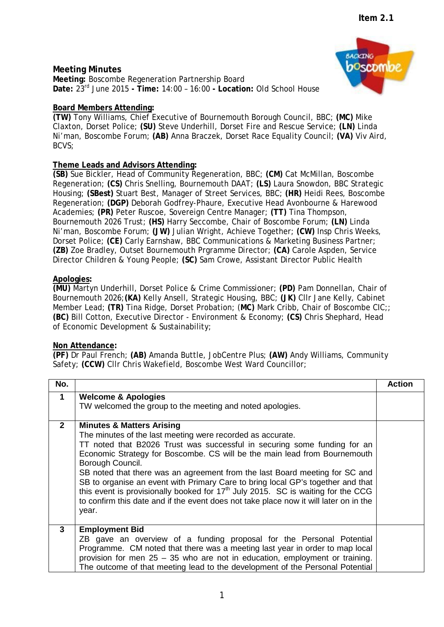# **Meeting Minutes**

**Meeting:** Boscombe Regeneration Partnership Board **Date:** 23rd June 2015 **- Time:** 14:00 – 16:00 **- Location:** Old School House

## **Board Members Attending:**

**(TW)** Tony Williams, Chief Executive of Bournemouth Borough Council, BBC; **(MC)** Mike Claxton, Dorset Police; **(SU)** Steve Underhill, Dorset Fire and Rescue Service; **(LN)** Linda Ni'man, Boscombe Forum; **(AB)** Anna Braczek, Dorset Race Equality Council; **(VA)** Viv Aird, BCVS;

# **Theme Leads and Advisors Attending:**

**(SB)** Sue Bickler, Head of Community Regeneration, BBC; **(CM)** Cat McMillan, Boscombe Regeneration; **(CS)** Chris Snelling, Bournemouth DAAT; **(LS)** Laura Snowdon, BBC Strategic Housing; **(SBest)** Stuart Best, Manager of Street Services, BBC; **(HR)** Heidi Rees, Boscombe Regeneration; **(DGP)** Deborah Godfrey-Phaure, Executive Head Avonbourne & Harewood Academies; **(PR)** Peter Ruscoe, Sovereign Centre Manager; **(TT)** Tina Thompson, Bournemouth 2026 Trust; **(HS)** Harry Seccombe, Chair of Boscombe Forum; **(LN)** Linda Ni'man, Boscombe Forum; **(JW)** Julian Wright, Achieve Together; **(CW)** Insp Chris Weeks, Dorset Police; **(CE)** Carly Earnshaw, BBC Communications & Marketing Business Partner; **(ZB)** Zoe Bradley, Outset Bournemouth Prgramme Director; **(CA)** Carole Aspden, Service Director Children & Young People; **(SC)** Sam Crowe, Assistant Director Public Health

## **Apologies:**

**(MU)** Martyn Underhill, Dorset Police & Crime Commissioner; **(PD)** Pam Donnellan, Chair of Bournemouth 2026;**(KA)** Kelly Ansell, Strategic Housing, BBC; **(JK)** Cllr Jane Kelly, Cabinet Member Lead; **(TR)** Tina Ridge, Dorset Probation; (**MC)** Mark Cribb, Chair of Boscombe CIC;; **(BC)** Bill Cotton, Executive Director - Environment & Economy; **(CS)** Chris Shephard, Head of Economic Development & Sustainability;

## **Non Attendance:**

**(PF)** Dr Paul French; **(AB)** Amanda Buttle, JobCentre Plus; **(AW)** Andy Williams, Community Safety; **(CCW)** Cllr Chris Wakefield, Boscombe West Ward Councillor;

| No.          |                                                                                                                                                                                                                                                                                                                                                                                                                                                                                                                                                                                                                                                     | <b>Action</b> |
|--------------|-----------------------------------------------------------------------------------------------------------------------------------------------------------------------------------------------------------------------------------------------------------------------------------------------------------------------------------------------------------------------------------------------------------------------------------------------------------------------------------------------------------------------------------------------------------------------------------------------------------------------------------------------------|---------------|
| $\mathbf 1$  | <b>Welcome &amp; Apologies</b><br>TW welcomed the group to the meeting and noted apologies.                                                                                                                                                                                                                                                                                                                                                                                                                                                                                                                                                         |               |
| $\mathbf{2}$ | <b>Minutes &amp; Matters Arising</b><br>The minutes of the last meeting were recorded as accurate.<br>TT noted that B2026 Trust was successful in securing some funding for an<br>Economic Strategy for Boscombe. CS will be the main lead from Bournemouth<br>Borough Council.<br>SB noted that there was an agreement from the last Board meeting for SC and<br>SB to organise an event with Primary Care to bring local GP's together and that<br>this event is provisionally booked for 17 <sup>th</sup> July 2015. SC is waiting for the CCG<br>to confirm this date and if the event does not take place now it will later on in the<br>year. |               |
| 3            | <b>Employment Bid</b><br>ZB gave an overview of a funding proposal for the Personal Potential<br>Programme. CM noted that there was a meeting last year in order to map local<br>provision for men $25 - 35$ who are not in education, employment or training.<br>The outcome of that meeting lead to the development of the Personal Potential                                                                                                                                                                                                                                                                                                     |               |

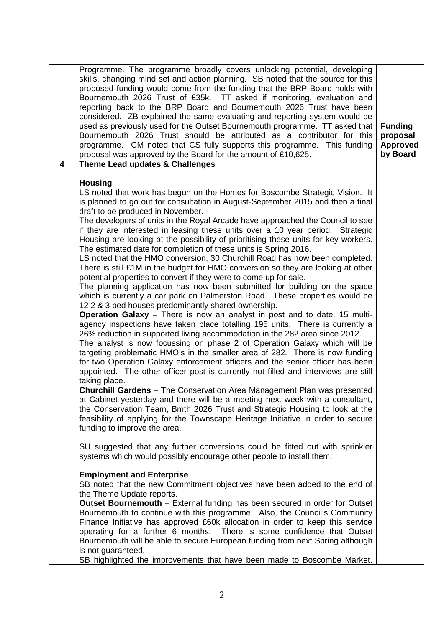| $\overline{\mathbf{4}}$ | Programme. The programme broadly covers unlocking potential, developing<br>skills, changing mind set and action planning. SB noted that the source for this<br>proposed funding would come from the funding that the BRP Board holds with<br>Bournemouth 2026 Trust of £35k. TT asked if monitoring, evaluation and<br>reporting back to the BRP Board and Bournemouth 2026 Trust have been<br>considered. ZB explained the same evaluating and reporting system would be<br>used as previously used for the Outset Bournemouth programme. TT asked that<br>Bournemouth 2026 Trust should be attributed as a contributor for this<br>programme. CM noted that CS fully supports this programme. This funding<br>proposal was approved by the Board for the amount of £10,625.                                                                                                                                                                                                                                                                                                                                                                                                                                                                                                                                                                                                                                                                                                                                                                                                                                                                                                                                                                                                                                                                                                                                                                                                                  | <b>Funding</b><br>proposal<br><b>Approved</b><br>by Board |
|-------------------------|------------------------------------------------------------------------------------------------------------------------------------------------------------------------------------------------------------------------------------------------------------------------------------------------------------------------------------------------------------------------------------------------------------------------------------------------------------------------------------------------------------------------------------------------------------------------------------------------------------------------------------------------------------------------------------------------------------------------------------------------------------------------------------------------------------------------------------------------------------------------------------------------------------------------------------------------------------------------------------------------------------------------------------------------------------------------------------------------------------------------------------------------------------------------------------------------------------------------------------------------------------------------------------------------------------------------------------------------------------------------------------------------------------------------------------------------------------------------------------------------------------------------------------------------------------------------------------------------------------------------------------------------------------------------------------------------------------------------------------------------------------------------------------------------------------------------------------------------------------------------------------------------------------------------------------------------------------------------------------------------|-----------------------------------------------------------|
|                         | Theme Lead updates & Challenges                                                                                                                                                                                                                                                                                                                                                                                                                                                                                                                                                                                                                                                                                                                                                                                                                                                                                                                                                                                                                                                                                                                                                                                                                                                                                                                                                                                                                                                                                                                                                                                                                                                                                                                                                                                                                                                                                                                                                                |                                                           |
|                         | <b>Housing</b><br>LS noted that work has begun on the Homes for Boscombe Strategic Vision. It<br>is planned to go out for consultation in August-September 2015 and then a final<br>draft to be produced in November.<br>The developers of units in the Royal Arcade have approached the Council to see<br>if they are interested in leasing these units over a 10 year period. Strategic<br>Housing are looking at the possibility of prioritising these units for key workers.<br>The estimated date for completion of these units is Spring 2016.<br>LS noted that the HMO conversion, 30 Churchill Road has now been completed.<br>There is still £1M in the budget for HMO conversion so they are looking at other<br>potential properties to convert if they were to come up for sale.<br>The planning application has now been submitted for building on the space<br>which is currently a car park on Palmerston Road. These properties would be<br>12 2 & 3 bed houses predominantly shared ownership.<br><b>Operation Galaxy</b> – There is now an analyst in post and to date, 15 multi-<br>agency inspections have taken place totalling 195 units. There is currently a<br>26% reduction in supported living accommodation in the 282 area since 2012.<br>The analyst is now focussing on phase 2 of Operation Galaxy which will be<br>targeting problematic HMO's in the smaller area of 282. There is now funding<br>for two Operation Galaxy enforcement officers and the senior officer has been<br>appointed. The other officer post is currently not filled and interviews are still<br>taking place.<br><b>Churchill Gardens</b> – The Conservation Area Management Plan was presented<br>at Cabinet yesterday and there will be a meeting next week with a consultant,<br>the Conservation Team, Bmth 2026 Trust and Strategic Housing to look at the<br>feasibility of applying for the Townscape Heritage Initiative in order to secure<br>funding to improve the area. |                                                           |
|                         | SU suggested that any further conversions could be fitted out with sprinkler<br>systems which would possibly encourage other people to install them.                                                                                                                                                                                                                                                                                                                                                                                                                                                                                                                                                                                                                                                                                                                                                                                                                                                                                                                                                                                                                                                                                                                                                                                                                                                                                                                                                                                                                                                                                                                                                                                                                                                                                                                                                                                                                                           |                                                           |
|                         | <b>Employment and Enterprise</b><br>SB noted that the new Commitment objectives have been added to the end of<br>the Theme Update reports.<br><b>Outset Bournemouth</b> – External funding has been secured in order for Outset<br>Bournemouth to continue with this programme. Also, the Council's Community<br>Finance Initiative has approved £60k allocation in order to keep this service<br>operating for a further 6 months. There is some confidence that Outset<br>Bournemouth will be able to secure European funding from next Spring although<br>is not guaranteed.<br>SB highlighted the improvements that have been made to Boscombe Market.                                                                                                                                                                                                                                                                                                                                                                                                                                                                                                                                                                                                                                                                                                                                                                                                                                                                                                                                                                                                                                                                                                                                                                                                                                                                                                                                     |                                                           |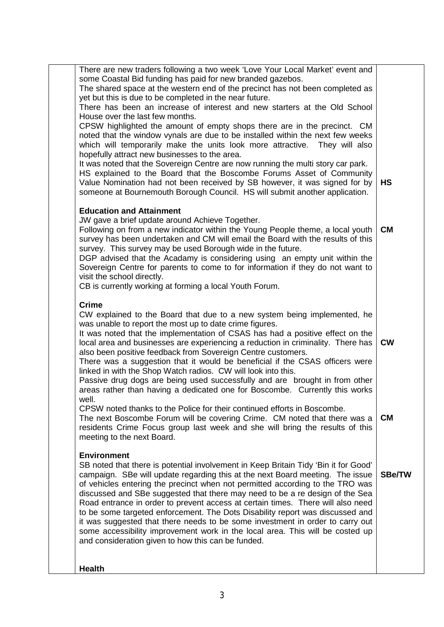| There are new traders following a two week 'Love Your Local Market' event and<br>some Coastal Bid funding has paid for new branded gazebos.<br>The shared space at the western end of the precinct has not been completed as<br>yet but this is due to be completed in the near future.<br>There has been an increase of interest and new starters at the Old School<br>House over the last few months.<br>CPSW highlighted the amount of empty shops there are in the precinct. CM<br>noted that the window vynals are due to be installed within the next few weeks<br>which will temporarily make the units look more attractive. They will also<br>hopefully attract new businesses to the area.<br>It was noted that the Sovereign Centre are now running the multi story car park.<br>HS explained to the Board that the Boscombe Forums Asset of Community<br>Value Nomination had not been received by SB however, it was signed for by<br><b>HS</b><br>someone at Bournemouth Borough Council. HS will submit another application.<br><b>Education and Attainment</b><br>JW gave a brief update around Achieve Together.<br>Following on from a new indicator within the Young People theme, a local youth<br><b>CM</b><br>survey has been undertaken and CM will email the Board with the results of this<br>survey. This survey may be used Borough wide in the future.<br>DGP advised that the Acadamy is considering using an empty unit within the<br>Sovereign Centre for parents to come to for information if they do not want to<br>visit the school directly.<br>CB is currently working at forming a local Youth Forum.<br><b>Crime</b><br>CW explained to the Board that due to a new system being implemented, he<br>was unable to report the most up to date crime figures.<br>It was noted that the implementation of CSAS has had a positive effect on the<br>local area and businesses are experiencing a reduction in criminality. There has<br><b>CW</b><br>also been positive feedback from Sovereign Centre customers.<br>There was a suggestion that it would be beneficial if the CSAS officers were<br>linked in with the Shop Watch radios. CW will look into this.<br>Passive drug dogs are being used successfully and are brought in from other<br>areas rather than having a dedicated one for Boscombe. Currently this works<br>well.<br>CPSW noted thanks to the Police for their continued efforts in Boscombe.<br>The next Boscombe Forum will be covering Crime. CM noted that there was a<br><b>CM</b><br>residents Crime Focus group last week and she will bring the results of this<br>meeting to the next Board.<br><b>Environment</b><br>SB noted that there is potential involvement in Keep Britain Tidy 'Bin it for Good'<br>campaign. SBe will update regarding this at the next Board meeting. The issue<br><b>SBe/TW</b><br>of vehicles entering the precinct when not permitted according to the TRO was<br>discussed and SBe suggested that there may need to be a re design of the Sea<br>Road entrance in order to prevent access at certain times. There will also need<br>to be some targeted enforcement. The Dots Disability report was discussed and<br>it was suggested that there needs to be some investment in order to carry out<br>some accessibility improvement work in the local area. This will be costed up<br>and consideration given to how this can be funded.<br><b>Health</b> |  |  |
|---------------------------------------------------------------------------------------------------------------------------------------------------------------------------------------------------------------------------------------------------------------------------------------------------------------------------------------------------------------------------------------------------------------------------------------------------------------------------------------------------------------------------------------------------------------------------------------------------------------------------------------------------------------------------------------------------------------------------------------------------------------------------------------------------------------------------------------------------------------------------------------------------------------------------------------------------------------------------------------------------------------------------------------------------------------------------------------------------------------------------------------------------------------------------------------------------------------------------------------------------------------------------------------------------------------------------------------------------------------------------------------------------------------------------------------------------------------------------------------------------------------------------------------------------------------------------------------------------------------------------------------------------------------------------------------------------------------------------------------------------------------------------------------------------------------------------------------------------------------------------------------------------------------------------------------------------------------------------------------------------------------------------------------------------------------------------------------------------------------------------------------------------------------------------------------------------------------------------------------------------------------------------------------------------------------------------------------------------------------------------------------------------------------------------------------------------------------------------------------------------------------------------------------------------------------------------------------------------------------------------------------------------------------------------------------------------------------------------------------------------------------------------------------------------------------------------------------------------------------------------------------------------------------------------------------------------------------------------------------------------------------------------------------------------------------------------------------------------------------------------------------------------------------------------------------------------------------------------------------------------------------------------------------------------------------------------------------------------------------------------------------------------------------------------------------------------------------|--|--|
|                                                                                                                                                                                                                                                                                                                                                                                                                                                                                                                                                                                                                                                                                                                                                                                                                                                                                                                                                                                                                                                                                                                                                                                                                                                                                                                                                                                                                                                                                                                                                                                                                                                                                                                                                                                                                                                                                                                                                                                                                                                                                                                                                                                                                                                                                                                                                                                                                                                                                                                                                                                                                                                                                                                                                                                                                                                                                                                                                                                                                                                                                                                                                                                                                                                                                                                                                                                                                                                               |  |  |
|                                                                                                                                                                                                                                                                                                                                                                                                                                                                                                                                                                                                                                                                                                                                                                                                                                                                                                                                                                                                                                                                                                                                                                                                                                                                                                                                                                                                                                                                                                                                                                                                                                                                                                                                                                                                                                                                                                                                                                                                                                                                                                                                                                                                                                                                                                                                                                                                                                                                                                                                                                                                                                                                                                                                                                                                                                                                                                                                                                                                                                                                                                                                                                                                                                                                                                                                                                                                                                                               |  |  |
|                                                                                                                                                                                                                                                                                                                                                                                                                                                                                                                                                                                                                                                                                                                                                                                                                                                                                                                                                                                                                                                                                                                                                                                                                                                                                                                                                                                                                                                                                                                                                                                                                                                                                                                                                                                                                                                                                                                                                                                                                                                                                                                                                                                                                                                                                                                                                                                                                                                                                                                                                                                                                                                                                                                                                                                                                                                                                                                                                                                                                                                                                                                                                                                                                                                                                                                                                                                                                                                               |  |  |
|                                                                                                                                                                                                                                                                                                                                                                                                                                                                                                                                                                                                                                                                                                                                                                                                                                                                                                                                                                                                                                                                                                                                                                                                                                                                                                                                                                                                                                                                                                                                                                                                                                                                                                                                                                                                                                                                                                                                                                                                                                                                                                                                                                                                                                                                                                                                                                                                                                                                                                                                                                                                                                                                                                                                                                                                                                                                                                                                                                                                                                                                                                                                                                                                                                                                                                                                                                                                                                                               |  |  |
|                                                                                                                                                                                                                                                                                                                                                                                                                                                                                                                                                                                                                                                                                                                                                                                                                                                                                                                                                                                                                                                                                                                                                                                                                                                                                                                                                                                                                                                                                                                                                                                                                                                                                                                                                                                                                                                                                                                                                                                                                                                                                                                                                                                                                                                                                                                                                                                                                                                                                                                                                                                                                                                                                                                                                                                                                                                                                                                                                                                                                                                                                                                                                                                                                                                                                                                                                                                                                                                               |  |  |